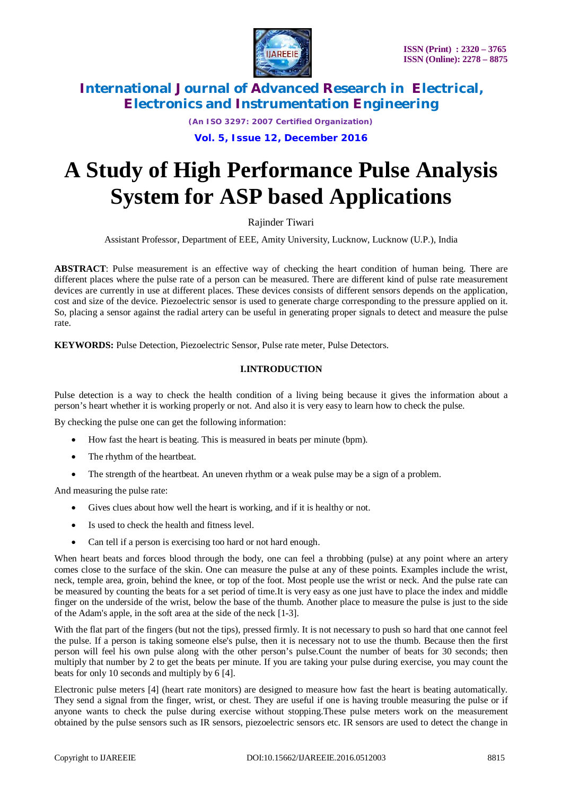

*(An ISO 3297: 2007 Certified Organization)*

**Vol. 5, Issue 12, December 2016**

# **A Study of High Performance Pulse Analysis System for ASP based Applications**

Rajinder Tiwari

Assistant Professor, Department of EEE, Amity University, Lucknow, Lucknow (U.P.), India

**ABSTRACT**: Pulse measurement is an effective way of checking the heart condition of human being. There are different places where the pulse rate of a person can be measured. There are different kind of pulse rate measurement devices are currently in use at different places. These devices consists of different sensors depends on the application, cost and size of the device. Piezoelectric sensor is used to generate charge corresponding to the pressure applied on it. So, placing a sensor against the radial artery can be useful in generating proper signals to detect and measure the pulse rate.

**KEYWORDS:** Pulse Detection, Piezoelectric Sensor, Pulse rate meter, Pulse Detectors.

### **I.INTRODUCTION**

Pulse detection is a way to check the health condition of a living being because it gives the information about a person's heart whether it is working properly or not. And also it is very easy to learn how to check the pulse.

By checking the pulse one can get the following information:

- How fast the heart is beating. This is measured in beats per minute (bpm).
- The rhythm of the heartbeat.
- The strength of the heartbeat. An uneven rhythm or a weak pulse may be a sign of a problem.

And measuring the pulse rate:

- Gives clues about how well the heart is working, and if it is healthy or not.
- Is used to check the health and fitness level.
- Can tell if a person is exercising too hard or not hard enough.

When heart beats and forces blood through the body, one can feel a throbbing (pulse) at any point where an artery comes close to the surface of the skin. One can measure the pulse at any of these points. Examples include the wrist, neck, temple area, groin, behind the knee, or top of the foot. Most people use the wrist or neck. And the pulse rate can be measured by counting the beats for a set period of time.It is very easy as one just have to place the index and middle finger on the underside of the wrist, below the base of the thumb. Another place to measure the pulse is just to the side of the Adam's apple, in the soft area at the side of the neck [1-3].

With the flat part of the fingers (but not the tips), pressed firmly. It is not necessary to push so hard that one cannot feel the pulse. If a person is taking someone else's pulse, then it is necessary not to use the thumb. Because then the first person will feel his own pulse along with the other person's pulse.Count the number of beats for 30 seconds; then multiply that number by 2 to get the beats per minute. If you are taking your pulse during exercise, you may count the beats for only 10 seconds and multiply by 6 [4].

Electronic pulse meters [4] (heart rate monitors) are designed to measure how fast the heart is beating automatically. They send a signal from the finger, wrist, or chest. They are useful if one is having trouble measuring the pulse or if anyone wants to check the pulse during exercise without stopping.These pulse meters work on the measurement obtained by the pulse sensors such as IR sensors, piezoelectric sensors etc. IR sensors are used to detect the change in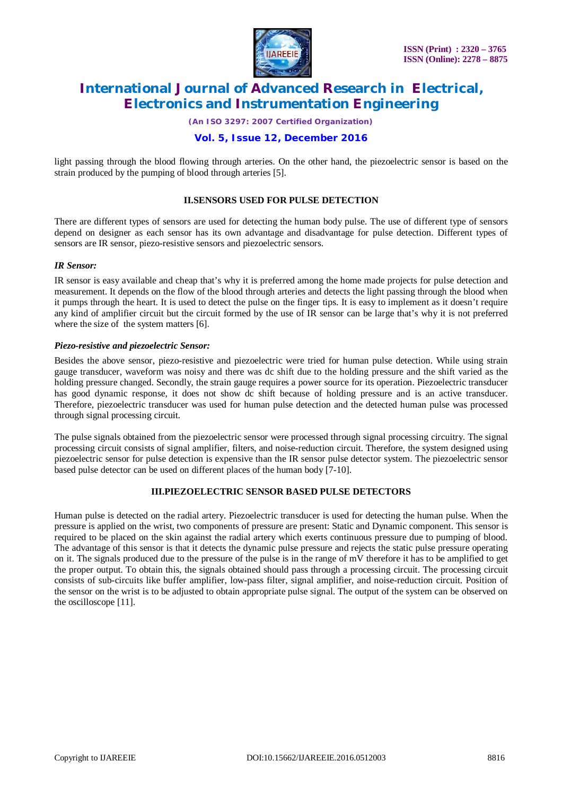

*(An ISO 3297: 2007 Certified Organization)*

### **Vol. 5, Issue 12, December 2016**

light passing through the blood flowing through arteries. On the other hand, the piezoelectric sensor is based on the strain produced by the pumping of blood through arteries [5].

#### **II.SENSORS USED FOR PULSE DETECTION**

There are different types of sensors are used for detecting the human body pulse. The use of different type of sensors depend on designer as each sensor has its own advantage and disadvantage for pulse detection. Different types of sensors are IR sensor, piezo-resistive sensors and piezoelectric sensors.

#### *IR Sensor:*

IR sensor is easy available and cheap that's why it is preferred among the home made projects for pulse detection and measurement. It depends on the flow of the blood through arteries and detects the light passing through the blood when it pumps through the heart. It is used to detect the pulse on the finger tips. It is easy to implement as it doesn't require any kind of amplifier circuit but the circuit formed by the use of IR sensor can be large that's why it is not preferred where the size of the system matters [6].

#### *Piezo-resistive and piezoelectric Sensor:*

Besides the above sensor, piezo-resistive and piezoelectric were tried for human pulse detection. While using strain gauge transducer, waveform was noisy and there was dc shift due to the holding pressure and the shift varied as the holding pressure changed. Secondly, the strain gauge requires a power source for its operation. Piezoelectric transducer has good dynamic response, it does not show dc shift because of holding pressure and is an active transducer. Therefore, piezoelectric transducer was used for human pulse detection and the detected human pulse was processed through signal processing circuit.

The pulse signals obtained from the piezoelectric sensor were processed through signal processing circuitry. The signal processing circuit consists of signal amplifier, filters, and noise-reduction circuit. Therefore, the system designed using piezoelectric sensor for pulse detection is expensive than the IR sensor pulse detector system. The piezoelectric sensor based pulse detector can be used on different places of the human body [7-10].

### **III.PIEZOELECTRIC SENSOR BASED PULSE DETECTORS**

Human pulse is detected on the radial artery. Piezoelectric transducer is used for detecting the human pulse. When the pressure is applied on the wrist, two components of pressure are present: Static and Dynamic component. This sensor is required to be placed on the skin against the radial artery which exerts continuous pressure due to pumping of blood. The advantage of this sensor is that it detects the dynamic pulse pressure and rejects the static pulse pressure operating on it. The signals produced due to the pressure of the pulse is in the range of mV therefore it has to be amplified to get the proper output. To obtain this, the signals obtained should pass through a processing circuit. The processing circuit consists of sub-circuits like buffer amplifier, low-pass filter, signal amplifier, and noise-reduction circuit. Position of the sensor on the wrist is to be adjusted to obtain appropriate pulse signal. The output of the system can be observed on the oscilloscope [11].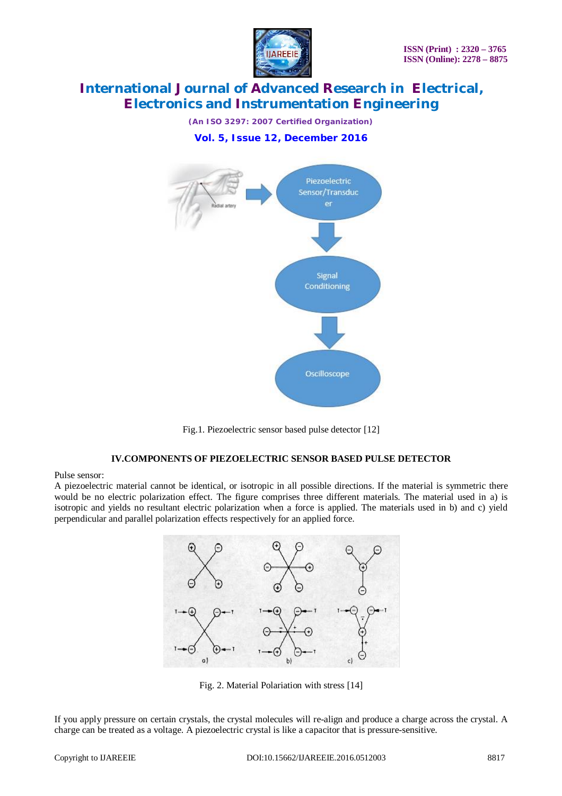

*(An ISO 3297: 2007 Certified Organization)* **Vol. 5, Issue 12, December 2016**



Fig.1. Piezoelectric sensor based pulse detector [12]

#### **IV.COMPONENTS OF PIEZOELECTRIC SENSOR BASED PULSE DETECTOR**

Pulse sensor:

A piezoelectric material cannot be identical, or isotropic in all possible directions. If the material is symmetric there would be no electric polarization effect. The figure comprises three different materials. The material used in a) is isotropic and yields no resultant electric polarization when a force is applied. The materials used in b) and c) yield perpendicular and parallel polarization effects respectively for an applied force.



Fig. 2. Material Polariation with stress [14]

If you apply pressure on certain crystals, the crystal molecules will re-align and produce a charge across the crystal. A charge can be treated as a voltage. A piezoelectric crystal is like a capacitor that is pressure-sensitive.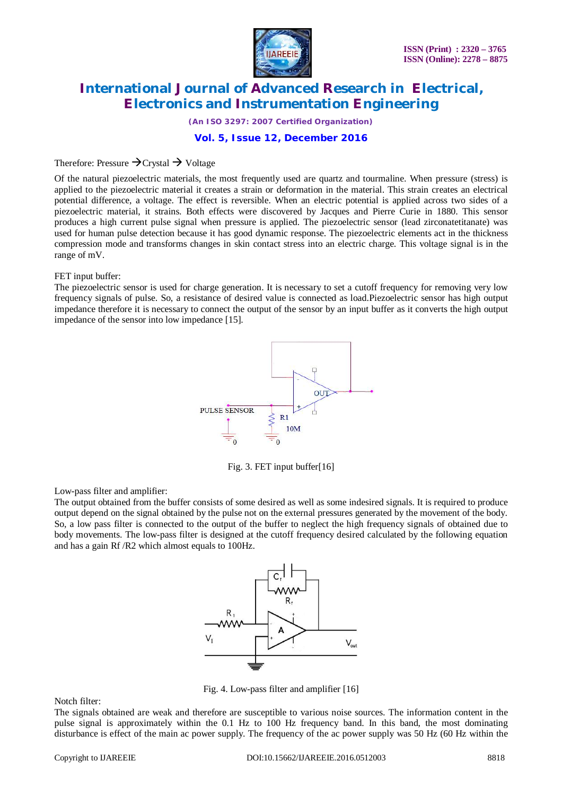

*(An ISO 3297: 2007 Certified Organization)*

#### **Vol. 5, Issue 12, December 2016**

### Therefore: Pressure  $\rightarrow$  Crystal  $\rightarrow$  Voltage

Of the natural piezoelectric materials, the most frequently used are quartz and tourmaline. When pressure (stress) is applied to the piezoelectric material it creates a strain or deformation in the material. This strain creates an electrical potential difference, a voltage. The effect is reversible. When an electric potential is applied across two sides of a piezoelectric material, it strains. Both effects were discovered by Jacques and Pierre Curie in 1880. This sensor produces a high current pulse signal when pressure is applied. The piezoelectric sensor (lead zirconatetitanate) was used for human pulse detection because it has good dynamic response. The piezoelectric elements act in the thickness compression mode and transforms changes in skin contact stress into an electric charge. This voltage signal is in the range of mV.

#### FET input buffer:

The piezoelectric sensor is used for charge generation. It is necessary to set a cutoff frequency for removing very low frequency signals of pulse. So, a resistance of desired value is connected as load.Piezoelectric sensor has high output impedance therefore it is necessary to connect the output of the sensor by an input buffer as it converts the high output impedance of the sensor into low impedance [15].



Fig. 3. FET input buffer[16]

Low-pass filter and amplifier:

The output obtained from the buffer consists of some desired as well as some indesired signals. It is required to produce output depend on the signal obtained by the pulse not on the external pressures generated by the movement of the body. So, a low pass filter is connected to the output of the buffer to neglect the high frequency signals of obtained due to body movements. The low-pass filter is designed at the cutoff frequency desired calculated by the following equation and has a gain Rf /R2 which almost equals to 100Hz.



Fig. 4. Low-pass filter and amplifier [16]

Notch filter:

The signals obtained are weak and therefore are susceptible to various noise sources. The information content in the pulse signal is approximately within the 0.1 Hz to 100 Hz frequency band. In this band, the most dominating disturbance is effect of the main ac power supply. The frequency of the ac power supply was 50 Hz (60 Hz within the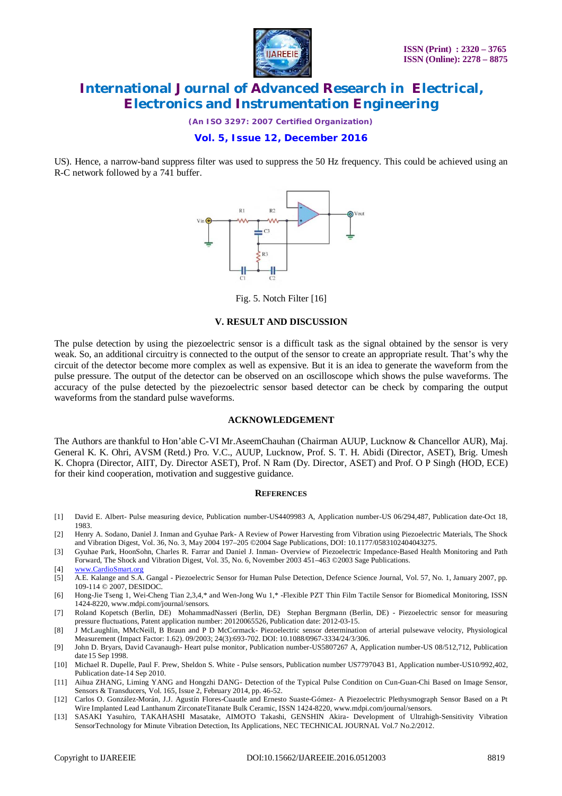

*(An ISO 3297: 2007 Certified Organization)*

#### **Vol. 5, Issue 12, December 2016**

US). Hence, a narrow-band suppress filter was used to suppress the 50 Hz frequency. This could be achieved using an R-C network followed by a 741 buffer.



Fig. 5. Notch Filter [16]

#### **V. RESULT AND DISCUSSION**

The pulse detection by using the piezoelectric sensor is a difficult task as the signal obtained by the sensor is very weak. So, an additional circuitry is connected to the output of the sensor to create an appropriate result. That's why the circuit of the detector become more complex as well as expensive. But it is an idea to generate the waveform from the pulse pressure. The output of the detector can be observed on an oscilloscope which shows the pulse waveforms. The accuracy of the pulse detected by the piezoelectric sensor based detector can be check by comparing the output waveforms from the standard pulse waveforms.

#### **ACKNOWLEDGEMENT**

The Authors are thankful to Hon'able C-VI Mr.AseemChauhan (Chairman AUUP, Lucknow & Chancellor AUR), Maj. General K. K. Ohri, AVSM (Retd.) Pro. V.C., AUUP, Lucknow, Prof. S. T. H. Abidi (Director, ASET), Brig. Umesh K. Chopra (Director, AIIT, Dy. Director ASET), Prof. N Ram (Dy. Director, ASET) and Prof. O P Singh (HOD, ECE) for their kind cooperation, motivation and suggestive guidance.

#### **REFERENCES**

- [1] David E. Albert- Pulse measuring device, Publication number-US4409983 A, Application number-US 06/294,487, Publication date-Oct 18, 1983.
- [2] Henry A. Sodano, Daniel J. Inman and Gyuhae Park- A Review of Power Harvesting from Vibration using Piezoelectric Materials, The Shock and Vibration Digest, Vol. 36, No. 3, May 2004 197–205 ©2004 Sage Publications, DOI: 10.1177/0583102404043275.
- [3] Gyuhae Park, HoonSohn, Charles R. Farrar and Daniel J. Inman- Overview of Piezoelectric Impedance-Based Health Monitoring and Path Forward, The Shock and Vibration Digest, Vol. 35, No. 6, November 2003 451–463 ©2003 Sage Publications.
- [4] [www.CardioSmart.org](http://www.CardioSmart.org)
- [5] A.E. Kalange and S.A. Gangal Piezoelectric Sensor for Human Pulse Detection, Defence Science Journal, Vol. 57, No. 1, January 2007, pp. 109-114 © 2007, DESIDOC.
- [6] Hong-Jie Tseng 1, Wei-Cheng Tian 2,3,4,\* and Wen-Jong Wu 1,\* -Flexible PZT Thin Film Tactile Sensor for Biomedical Monitoring, ISSN 1424-8220, [www.mdpi.com/journal/sensors.](http://www.mdpi.com/journal/sensors.)
- [7] Roland Kopetsch (Berlin, DE) MohammadNasseri (Berlin, DE) Stephan Bergmann (Berlin, DE) Piezoelectric sensor for measuring pressure fluctuations, Patent application number: 20120065526, Publication date: 2012-03-15.
- [8] J McLaughlin, MMcNeill, B Braun and P D McCormack- Piezoelectric sensor determination of arterial pulsewave velocity, Physiological Measurement (Impact Factor: 1.62). 09/2003; 24(3):693-702. DOI: 10.1088/0967-3334/24/3/306.
- [9] John D. Bryars, David Cavanaugh- Heart pulse monitor, Publication number-US5807267 A, Application number-US 08/512,712, Publication date 15 Sep 1998.
- [10] Michael R. Dupelle, Paul F. Prew, Sheldon S. White Pulse sensors, Publication number US7797043 B1, Application number-US10/992,402, Publication date-14 Sep 2010.
- [11] Aihua ZHANG, Liming YANG and Hongzhi DANG- Detection of the Typical Pulse Condition on Cun-Guan-Chi Based on Image Sensor, Sensors & Transducers, Vol. 165, Issue 2, February 2014, pp. 46-52.
- [12] Carlos O. González-Morán, J.J. Agustín Flores-Cuautle and Ernesto Suaste-Gómez- A Piezoelectric Plethysmograph Sensor Based on a Pt Wire Implanted Lead Lanthanum ZirconateTitanate Bulk Ceramic, ISSN 1424-8220, [www.mdpi.com/journal/sensors.](http://www.mdpi.com/journal/sensors.)
- [13] SASAKI Yasuhiro, TAKAHASHI Masatake, AIMOTO Takashi, GENSHIN Akira- Development of Ultrahigh-Sensitivity Vibration SensorTechnology for Minute Vibration Detection, Its Applications, NEC TECHNICAL JOURNAL Vol.7 No.2/2012.